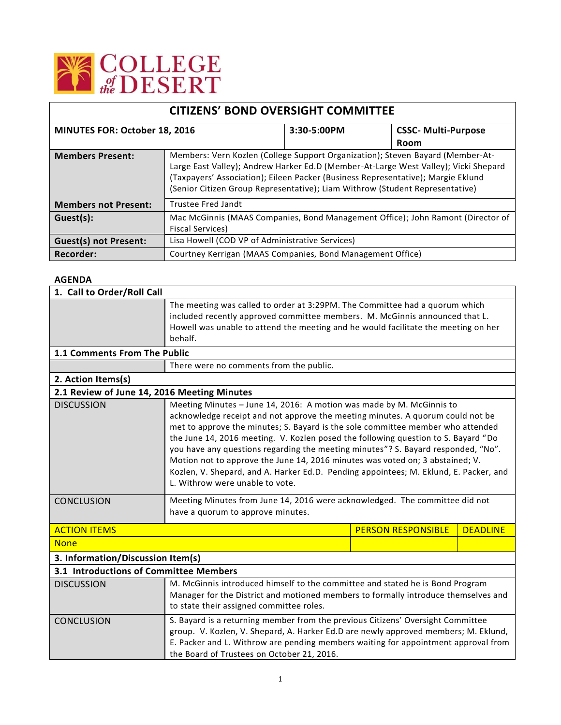

| <b>CITIZENS' BOND OVERSIGHT COMMITTEE</b> |                                                                                                                                                                                                                                                                                                                                           |             |                            |  |
|-------------------------------------------|-------------------------------------------------------------------------------------------------------------------------------------------------------------------------------------------------------------------------------------------------------------------------------------------------------------------------------------------|-------------|----------------------------|--|
| MINUTES FOR: October 18, 2016             |                                                                                                                                                                                                                                                                                                                                           | 3:30-5:00PM | <b>CSSC- Multi-Purpose</b> |  |
|                                           |                                                                                                                                                                                                                                                                                                                                           |             | Room                       |  |
| <b>Members Present:</b>                   | Members: Vern Kozlen (College Support Organization); Steven Bayard (Member-At-<br>Large East Valley); Andrew Harker Ed.D (Member-At-Large West Valley); Vicki Shepard<br>(Taxpayers' Association); Eileen Packer (Business Representative); Margie Eklund<br>(Senior Citizen Group Representative); Liam Withrow (Student Representative) |             |                            |  |
| <b>Members not Present:</b>               | Trustee Fred Jandt                                                                                                                                                                                                                                                                                                                        |             |                            |  |
| Guest(s):                                 | Mac McGinnis (MAAS Companies, Bond Management Office); John Ramont (Director of<br><b>Fiscal Services)</b>                                                                                                                                                                                                                                |             |                            |  |
| <b>Guest(s) not Present:</b>              | Lisa Howell (COD VP of Administrative Services)                                                                                                                                                                                                                                                                                           |             |                            |  |
| Recorder:                                 | Courtney Kerrigan (MAAS Companies, Bond Management Office)                                                                                                                                                                                                                                                                                |             |                            |  |

## **AGENDA**

| 1. Call to Order/Roll Call                  |                                                                                                                                                                                                                                                                                                                                                                                                                                                                                                                                                                                                                                   |                           |                 |  |  |
|---------------------------------------------|-----------------------------------------------------------------------------------------------------------------------------------------------------------------------------------------------------------------------------------------------------------------------------------------------------------------------------------------------------------------------------------------------------------------------------------------------------------------------------------------------------------------------------------------------------------------------------------------------------------------------------------|---------------------------|-----------------|--|--|
|                                             | The meeting was called to order at 3:29PM. The Committee had a quorum which<br>included recently approved committee members. M. McGinnis announced that L.<br>Howell was unable to attend the meeting and he would facilitate the meeting on her<br>behalf.                                                                                                                                                                                                                                                                                                                                                                       |                           |                 |  |  |
| 1.1 Comments From The Public                |                                                                                                                                                                                                                                                                                                                                                                                                                                                                                                                                                                                                                                   |                           |                 |  |  |
|                                             | There were no comments from the public.                                                                                                                                                                                                                                                                                                                                                                                                                                                                                                                                                                                           |                           |                 |  |  |
| 2. Action Items(s)                          |                                                                                                                                                                                                                                                                                                                                                                                                                                                                                                                                                                                                                                   |                           |                 |  |  |
| 2.1 Review of June 14, 2016 Meeting Minutes |                                                                                                                                                                                                                                                                                                                                                                                                                                                                                                                                                                                                                                   |                           |                 |  |  |
| <b>DISCUSSION</b>                           | Meeting Minutes - June 14, 2016: A motion was made by M. McGinnis to<br>acknowledge receipt and not approve the meeting minutes. A quorum could not be<br>met to approve the minutes; S. Bayard is the sole committee member who attended<br>the June 14, 2016 meeting. V. Kozlen posed the following question to S. Bayard "Do<br>you have any questions regarding the meeting minutes"? S. Bayard responded, "No".<br>Motion not to approve the June 14, 2016 minutes was voted on; 3 abstained; V.<br>Kozlen, V. Shepard, and A. Harker Ed.D. Pending appointees; M. Eklund, E. Packer, and<br>L. Withrow were unable to vote. |                           |                 |  |  |
| <b>CONCLUSION</b>                           | Meeting Minutes from June 14, 2016 were acknowledged. The committee did not<br>have a quorum to approve minutes.                                                                                                                                                                                                                                                                                                                                                                                                                                                                                                                  |                           |                 |  |  |
| <b>ACTION ITEMS</b>                         |                                                                                                                                                                                                                                                                                                                                                                                                                                                                                                                                                                                                                                   | <b>PERSON RESPONSIBLE</b> | <b>DEADLINE</b> |  |  |
| <b>None</b>                                 |                                                                                                                                                                                                                                                                                                                                                                                                                                                                                                                                                                                                                                   |                           |                 |  |  |
| 3. Information/Discussion Item(s)           |                                                                                                                                                                                                                                                                                                                                                                                                                                                                                                                                                                                                                                   |                           |                 |  |  |
| 3.1 Introductions of Committee Members      |                                                                                                                                                                                                                                                                                                                                                                                                                                                                                                                                                                                                                                   |                           |                 |  |  |
| <b>DISCUSSION</b>                           | M. McGinnis introduced himself to the committee and stated he is Bond Program<br>Manager for the District and motioned members to formally introduce themselves and<br>to state their assigned committee roles.                                                                                                                                                                                                                                                                                                                                                                                                                   |                           |                 |  |  |
| <b>CONCLUSION</b>                           | S. Bayard is a returning member from the previous Citizens' Oversight Committee<br>group. V. Kozlen, V. Shepard, A. Harker Ed.D are newly approved members; M. Eklund,<br>E. Packer and L. Withrow are pending members waiting for appointment approval from<br>the Board of Trustees on October 21, 2016.                                                                                                                                                                                                                                                                                                                        |                           |                 |  |  |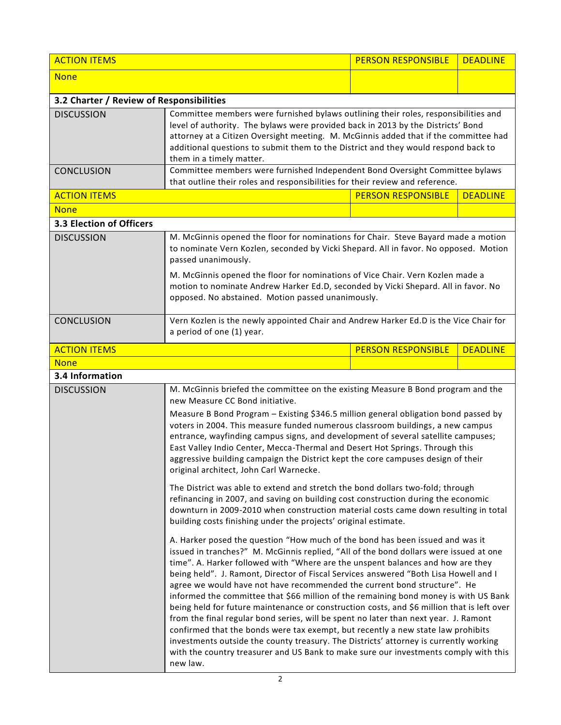| <b>ACTION ITEMS</b>                                                                                                                                                                                                                                                                                                           |                                                                                                                                                                                                                                                                                                                                                                                                                                                                                                                                                                                                                                                                                                                                                                                                                                                                                                                                                                                              | <b>PERSON RESPONSIBLE</b> | <b>DEADLINE</b> |  |
|-------------------------------------------------------------------------------------------------------------------------------------------------------------------------------------------------------------------------------------------------------------------------------------------------------------------------------|----------------------------------------------------------------------------------------------------------------------------------------------------------------------------------------------------------------------------------------------------------------------------------------------------------------------------------------------------------------------------------------------------------------------------------------------------------------------------------------------------------------------------------------------------------------------------------------------------------------------------------------------------------------------------------------------------------------------------------------------------------------------------------------------------------------------------------------------------------------------------------------------------------------------------------------------------------------------------------------------|---------------------------|-----------------|--|
| <b>None</b>                                                                                                                                                                                                                                                                                                                   |                                                                                                                                                                                                                                                                                                                                                                                                                                                                                                                                                                                                                                                                                                                                                                                                                                                                                                                                                                                              |                           |                 |  |
| 3.2 Charter / Review of Responsibilities                                                                                                                                                                                                                                                                                      |                                                                                                                                                                                                                                                                                                                                                                                                                                                                                                                                                                                                                                                                                                                                                                                                                                                                                                                                                                                              |                           |                 |  |
| <b>DISCUSSION</b>                                                                                                                                                                                                                                                                                                             | Committee members were furnished bylaws outlining their roles, responsibilities and<br>level of authority. The bylaws were provided back in 2013 by the Districts' Bond<br>attorney at a Citizen Oversight meeting. M. McGinnis added that if the committee had<br>additional questions to submit them to the District and they would respond back to<br>them in a timely matter.                                                                                                                                                                                                                                                                                                                                                                                                                                                                                                                                                                                                            |                           |                 |  |
| <b>CONCLUSION</b>                                                                                                                                                                                                                                                                                                             | Committee members were furnished Independent Bond Oversight Committee bylaws<br>that outline their roles and responsibilities for their review and reference.                                                                                                                                                                                                                                                                                                                                                                                                                                                                                                                                                                                                                                                                                                                                                                                                                                |                           |                 |  |
| <b>ACTION ITEMS</b>                                                                                                                                                                                                                                                                                                           |                                                                                                                                                                                                                                                                                                                                                                                                                                                                                                                                                                                                                                                                                                                                                                                                                                                                                                                                                                                              | <b>PERSON RESPONSIBLE</b> | <b>DEADLINE</b> |  |
| <b>None</b>                                                                                                                                                                                                                                                                                                                   |                                                                                                                                                                                                                                                                                                                                                                                                                                                                                                                                                                                                                                                                                                                                                                                                                                                                                                                                                                                              |                           |                 |  |
| 3.3 Election of Officers                                                                                                                                                                                                                                                                                                      |                                                                                                                                                                                                                                                                                                                                                                                                                                                                                                                                                                                                                                                                                                                                                                                                                                                                                                                                                                                              |                           |                 |  |
| <b>DISCUSSION</b>                                                                                                                                                                                                                                                                                                             | M. McGinnis opened the floor for nominations for Chair. Steve Bayard made a motion<br>to nominate Vern Kozlen, seconded by Vicki Shepard. All in favor. No opposed. Motion<br>passed unanimously.<br>M. McGinnis opened the floor for nominations of Vice Chair. Vern Kozlen made a<br>motion to nominate Andrew Harker Ed.D, seconded by Vicki Shepard. All in favor. No<br>opposed. No abstained. Motion passed unanimously.                                                                                                                                                                                                                                                                                                                                                                                                                                                                                                                                                               |                           |                 |  |
| <b>CONCLUSION</b>                                                                                                                                                                                                                                                                                                             | Vern Kozlen is the newly appointed Chair and Andrew Harker Ed.D is the Vice Chair for<br>a period of one (1) year.                                                                                                                                                                                                                                                                                                                                                                                                                                                                                                                                                                                                                                                                                                                                                                                                                                                                           |                           |                 |  |
| <b>ACTION ITEMS</b>                                                                                                                                                                                                                                                                                                           |                                                                                                                                                                                                                                                                                                                                                                                                                                                                                                                                                                                                                                                                                                                                                                                                                                                                                                                                                                                              | <b>PERSON RESPONSIBLE</b> | <b>DEADLINE</b> |  |
| <b>None</b>                                                                                                                                                                                                                                                                                                                   |                                                                                                                                                                                                                                                                                                                                                                                                                                                                                                                                                                                                                                                                                                                                                                                                                                                                                                                                                                                              |                           |                 |  |
| 3.4 Information                                                                                                                                                                                                                                                                                                               |                                                                                                                                                                                                                                                                                                                                                                                                                                                                                                                                                                                                                                                                                                                                                                                                                                                                                                                                                                                              |                           |                 |  |
| <b>DISCUSSION</b>                                                                                                                                                                                                                                                                                                             | M. McGinnis briefed the committee on the existing Measure B Bond program and the<br>new Measure CC Bond initiative.<br>Measure B Bond Program - Existing \$346.5 million general obligation bond passed by<br>voters in 2004. This measure funded numerous classroom buildings, a new campus<br>entrance, wayfinding campus signs, and development of several satellite campuses;<br>East Valley Indio Center, Mecca-Thermal and Desert Hot Springs. Through this<br>aggressive building campaign the District kept the core campuses design of their<br>original architect, John Carl Warnecke.                                                                                                                                                                                                                                                                                                                                                                                             |                           |                 |  |
|                                                                                                                                                                                                                                                                                                                               |                                                                                                                                                                                                                                                                                                                                                                                                                                                                                                                                                                                                                                                                                                                                                                                                                                                                                                                                                                                              |                           |                 |  |
| The District was able to extend and stretch the bond dollars two-fold; through<br>refinancing in 2007, and saving on building cost construction during the economic<br>downturn in 2009-2010 when construction material costs came down resulting in total<br>building costs finishing under the projects' original estimate. |                                                                                                                                                                                                                                                                                                                                                                                                                                                                                                                                                                                                                                                                                                                                                                                                                                                                                                                                                                                              |                           |                 |  |
|                                                                                                                                                                                                                                                                                                                               | A. Harker posed the question "How much of the bond has been issued and was it<br>issued in tranches?" M. McGinnis replied, "All of the bond dollars were issued at one<br>time". A. Harker followed with "Where are the unspent balances and how are they<br>being held". J. Ramont, Director of Fiscal Services answered "Both Lisa Howell and I<br>agree we would have not have recommended the current bond structure". He<br>informed the committee that \$66 million of the remaining bond money is with US Bank<br>being held for future maintenance or construction costs, and \$6 million that is left over<br>from the final regular bond series, will be spent no later than next year. J. Ramont<br>confirmed that the bonds were tax exempt, but recently a new state law prohibits<br>investments outside the county treasury. The Districts' attorney is currently working<br>with the country treasurer and US Bank to make sure our investments comply with this<br>new law. |                           |                 |  |